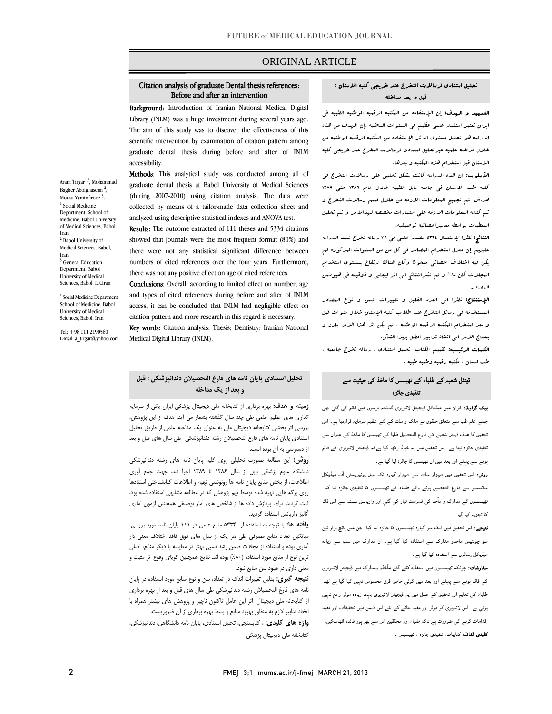### ORIGINAL ARTICLE

# Citation analysis of graduate Dental thesis references: Before and after an intervention

i

 Background: Introduction of Iranian National Medical Digital Library (INLM) was a huge investment during several years ago. The aim of this study was to discover the effectiveness of this scientific intervention by examination of citation pattern among graduate dental thesis during before and after of INLM accessibility.

 Methods: This analytical study was conducted among all of graduate dental thesis at Babol University of Medical Sciences collected by means of a tailor-made data collection sheet and analyzed using descriptive statistical indexes and ANOVA test. (during 2007-2010) using citation analysis. The data were

Results: The outcome extracted of 111 theses and 5334 citations showed that journals were the most frequent format (80%) and there were not any statistical significant difference between numbers of cited references over the four years. Furthermore, there was not any positive effect on age of cited references.

 Conclusions: Overall, according to limited effect on number, age and types of cited references during before and after of INLM citation pattern and more research in this regard is necessary. access, it can be concluded that INLM had negligible effect on

**Key words:** Citation analysis; Thesis; Dentistry; Iranian National Medical Digital Library (INLM).

### **تحليل استنادي پايان نامه هاي فارغ التحصيلان دندانپزشكي : قبل و بعد از يك مداخله**

 **زمينه و هدف:** بهره برداري از كتابخانه ملي ديجيتال پزشكي ايران يكي از سرمايه گذاري هاي عظيم علمي طي چند سال گذشته بشمار مي آيد. هدف از اين پژوهش، بررسي بر باستي سباسه ميبيس سي با سون باستند ساستن را مري معين<br>استنادي پايان نامه هاي فارغ التحصيلان رشته دندانپزشكي طي سال هاي قبل و بعد از دسترسي به آن بوده است. بررسي اثر بخشي كتابخانه ديجيتال ملي به عنوان يك مداخله علمي از طريق تحليل

 **روش:** اين مطالعه بصورت تحليلي روي كليه پايان نامه هاي رشته دندانپزشكي دانشگاه علوم پزشكي بابل از سال 1386 تا 1389 اجرا شد. جهت جمع آوري اطلاعات، از بخش منابع پايان نامه ها رونوشتي تهيه و اطلاعات كتابشناختي استنادها روي برگه هايي تهيه شده توسط تيم پژوهش كه در مطالعه مشابهي استفاده شده بود، ثبت گرديد. براي پردازش داده ها از شاخص هاي آمار توصيفي همچنين آزمون آماري آناليز واريانس استفاده گرديد.

 **يافته ها:** با توجه به استفاده از 5334 منبع علمي در 111 پايان نامه مورد بررسي، ميانگين تعداد منابع مصرفي طي هر يك از سال هاي فوق فاقد اختلاف معني دار آماري بوده و استفاده از مجلات ضمن رشد نسبي بهتر در مقايسه با ديگر منابع، اصلي ترين نوع از منابع مورد استفاده (%80) بوده اند. نتايج همچنين گوياي وقوع اثر مثبت و معني داري در هبود سن منابع نبود.

 **نتيجه گيري:** بدليل تغييرات اندك در تعداد، سن و نوع منابع مورد استفاده در پايان نامه هاي فارغ التحصيلان رشته دندانپزشكي طي سال هاي قبل و بعد از بهره برداري از كتابخانه ملي ديجيتال، اثر اين عامل تاكنون ناچيز و پژوهش هاي بيشتر همراه با ١ **واژه هاي كليدي:** ، كتابسنجي، تحليل استنادي، پايان نامه دانشگاهي، دندانپزشكي، كتابخانه ملي ديجيتال پزشكي اتخاذ تدابير لازم به منظور بهبود منابع و بسط بهره برداري از آن ضروريست.

### تحليل استنادي لرسالات التخرج عند خريجي كليه الاسنان : قبل و بعد مداخله

i

ا**لتسهيد و الهدف:** إن الإستفاده من ال<del>م</del>كتبه الرقميه الوطنيه الطبيه في ايران تعتبر استثمار علمي عظيم في السنوات الماضيه .إن الهدف من هذه الدراسه هو تحليل مستوي الاثر الإستفاده من المكتبه الرقميه الوطنيه من خلال مداخله علميه عبرتحليل استنادي لرسالات التخرج عند خريجي كليه الاسنان قبل استخدام هذه المكتبه و بعدها.

**الأسلوب:** إن هذه الدراسه كانت بشكل تحليى على رسالات التخرج في كليه طب الاسنان في جامعه بابل الطبيه خلال عام 1386 حتي 1389 هد.ش. تم تجميع المعلومات الازمه من خلال قسم رسالات التخرج و تم كتابه المعلومات الازمه علي استمارات مخصصه لهذالامر و تم تحليل المعطيات بواسطه معاييراحصائيه توصيفيه.

 النتائج: نظرا لإستعمال 5334 مصدر علمي في 111 رساله تخرج تمت الدراسه عليهم إن معدل استخدام المصادر في كل من من السنوات المذكوره لم يكن فيه اختلاف احصائي ملحوظ وكان هناك ارتفاع بمستوي استخدام المجلات كان %80 و لم تشرالنتائج الي اثر ايجابي و ذوقيمه في هيودسن المصادر.

 الإستنتاج: نظرا الي العدد القليل و تغييرات السن و نوع المصادر المستخدمه في رسائل التخرج عند طلاب كليه الإسنان خلال سنوات قبل و بعد استخدام المكتبه الرقميه الوطنيه ، لم يكن اثر هذا الامر بارز و يحتاج الامر الي اتخاذ تدابير افضل بهذا الشأن.

 الكلمات الرئيسيه: تقييم الكتاب، تحليل استنادي ، رساله تخرج جامعيه ، طب انسان ، مكتبه رقميه وطنيه طبيه .

### ڈینٹل شعبہ کے طلباء کے تھیسس کا ماخذ کی حیثیت سے تنقیدی جائزہ

 بیک گراونڈ: ایران میں میڈیکل ڈیجیٹل لائبریری گذشتہ برسوں میں قائم کی گئي تھی جسے علم طب سے متعلق حلقوں نے ملک و ملت کے لئے عظیم سرمایہ قراردیا ہے۔ اس تحقیق کا ھدف ڈینٹل شعبے کے فارغ التحصیل طلبا کے تھیسس کا ماخذ کے عنوان سے تنقیدی جائزہ لینا ہے۔ اس تحقیق میں یہ خیال رکھا گيا ہےکہ ڈیجیٹل لائبریری کے قائم ہونے سے پہلے اور بعد میں ان تھیسس کا جائزہ لیا گيا ہے۔

 روش: اس تحقیق میں دوہزار سات سے دوہزار گیارہ تک بابل یونیورسٹی آف میڈیکل سائنسس سے فارغ التحصیل ہونے والے طلباء کے تھیسسوں کا تنقیدی جائزہ لیا گيا۔ تھیسسوں کے مدارک و مآخذ کی فہرست تیار کی گئي اور واریانس سسٹم سے اس ڈاٹا کا تجزیہ کیا گيا۔

<mark>نتیجے:</mark> اس تحقیق میں ایک سو گیارہ تھیسسوں کا جائزہ لیا گیا، جن میں پانچ ہزار تین<br> سو چونتیس ماخذو مدارک سے استفادہ کیا گيا ہے۔ ان مدارک میں سب سے زیادہ میڈیکل رسالوں سے استفادہ کیا گیا ہے۔

 سفارشات: چونکہ تھیسسوں میں استفادہ کئے گئے مآخذو ومدارک میں ڈیجیٹل لائـبریری کے قائم ہونے سے پہلے اور بعد میں کوئي خاص فرق محسوس نہیں کیا گيا ہے لھذا طلباء کی تعلیم اور تحقیق کے عمل میں یہ ڈیجیٹل لائبریری بہت زیادہ موثر واقع نہیں ہوئي ہے۔ اس لائبریری کو موثر اور مفید بنانے کے لئے اس ضمن میں تحقیقات اور مفید اقدامات کرنے کی ضرورت ہے تاکہ طلباء اور محققین اس سے بھر پور فائدہ اٹھاسکیں۔ **کلیدی الفاظ:** کتابیات، تنقیدی جائزہ ، تھیسیس ۔

Aram Tirgar<sup>1,\*</sup>, Mohammad Bagher Abolghasemi<sup>2</sup>, Mousa Yaminfirooz<sup>3</sup>.  $^{\rm 1}$  Social Medicine Department, School of Medicine, Babol University of Medical Sciences, Babol, Iran <sup>2</sup> Babol University of Medical Sciences, Babol, Iran <sup>3</sup> General Education Department, Babol University of Medical Sciences, Babol, I.R.Iran

\* Social Medicine Department, School of Medicine, Babol University of Medical Sciences, Babol, Iran

Tel: +98 111 2190560 E-Mail: a\_tirgar@yahoo.com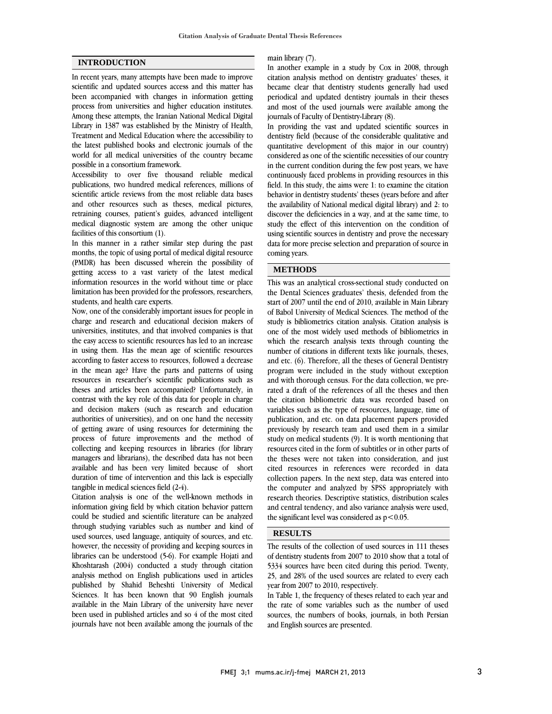#### **INTRODUCTION**

In recent years, many attempts have been made to improve scientific and updated sources access and this matter has been accompanied with changes in information getting process from universities and higher education institutes. Among these attempts, the Iranian National Medical Digital Library in 1387 was established by the Ministry of Health, Treatment and Medical Education where the accessibility to the latest published books and electronic journals of the world for all medical universities of the country became possible in a consortium framework.

Accessibility to over five thousand reliable medical publications, two hundred medical references, millions of scientific article reviews from the most reliable data bases and other resources such as theses, medical pictures, retraining courses, patient's guides, advanced intelligent medical diagnostic system are among the other unique facilities of this consortium (1).

In this manner in a rather similar step during the past months, the topic of using portal of medical digital resource (PMDR) has been discussed wherein the possibility of getting access to a vast variety of the latest medical information resources in the world without time or place limitation has been provided for the professors, researchers, students, and health care experts.

Now, one of the considerably important issues for people in charge and research and educational decision makers of universities, institutes, and that involved companies is that the easy access to scientific resources has led to an increase in using them. Has the mean age of scientific resources according to faster access to resources, followed a decrease in the mean age? Have the parts and patterns of using resources in researcher's scientific publications such as theses and articles been accompanied? Unfortunately, in contrast with the key role of this data for people in charge and decision makers (such as research and education authorities of universities), and on one hand the necessity of getting aware of using resources for determining the process of future improvements and the method of collecting and keeping resources in libraries (for library managers and librarians), the described data has not been available and has been very limited because of short duration of time of intervention and this lack is especially tangible in medical sciences field (2-4).

Citation analysis is one of the well-known methods in information giving field by which citation behavior pattern could be studied and scientific literature can be analyzed through studying variables such as number and kind of used sources, used language, antiquity of sources, and etc. however, the necessity of providing and keeping sources in libraries can be understood (5-6). For example Hojati and Khoshtarash (2004) conducted a study through citation analysis method on English publications used in articles published by Shahid Beheshti University of Medical Sciences. It has been known that 90 English journals available in the Main Library of the university have never been used in published articles and so 4 of the most cited journals have not been available among the journals of the

# main library (7).

 In another example in a study by Cox in 2008, through citation analysis method on dentistry graduates' theses, it became clear that dentistry students generally had used and most of the used journals were available among the journals of Faculty of Dentistry-Library (8). periodical and updated dentistry journals in their theses

 In providing the vast and updated scientific sources in dentistry field (because of the considerable qualitative and considered as one of the scientific necessities of our country in the current condition during the few post years, we have continuously faced problems in providing resources in this field. In this study, the aims were 1: to examine the citation the availability of National medical digital library) and 2: to discover the deficiencies in a way, and at the same time, to study the effect of this intervention on the condition of using scientific sources in dentistry and prove the necessary coming years. quantitative development of this major in our country) behavior in dentistry students' theses (years before and after data for more precise selection and preparation of source in

# **METHODS**

 $\overline{a}$ 

 This was an analytical cross-sectional study conducted on start of 2007 until the end of 2010, available in Main Library of Babol University of Medical Sciences. The method of the study is bibliometrics citation analysis. Citation analysis is one of the most widely used methods of bibliometrics in number of citations in different texts like journals, theses, and etc. (6). Therefore, all the theses of General Dentistry program were included in the study without exception and with thorough census. For the data collection, we pre- the citation bibliometric data was recorded based on variables such as the type of resources, language, time of publication, and etc. on data placement papers provided previously by research team and used them in a similar resources cited in the form of subtitles or in other parts of the theses were not taken into consideration, and just cited resources in references were recorded in data collection papers. In the next step, data was entered into research theories. Descriptive statistics, distribution scales and central tendency, and also variance analysis were used, the significant level was considered as  $p < 0.05$ . the Dental Sciences graduates' thesis, defended from the which the research analysis texts through counting the rated a draft of the references of all the theses and then study on medical students (9). It is worth mentioning that the computer and analyzed by SPSS appropriately with

## **RESULTS**

 The results of the collection of used sources in 111 theses of dentistry students from 2007 to 2010 show that a total of 5334 sources have been cited during this period. Twenty, 25, and 28% of the used sources are related to every each year from 2007 to 2010, respectively.

In Table 1, the frequency of theses related to each year and the rate of some variables such as the number of used sources, the numbers of books, journals, in both Persian and English sources are presented.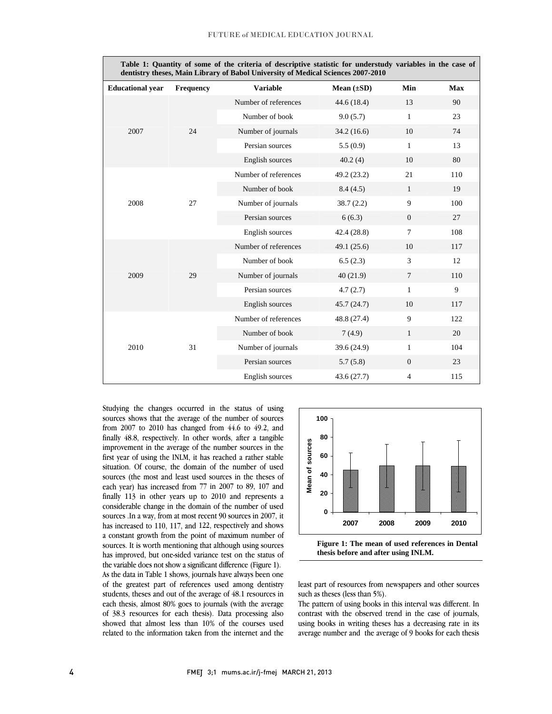$\overline{a}$ 

| Table 1: Quantity of some of the criteria of descriptive statistic for understudy variables in the case of<br>dentistry theses, Main Library of Babol University of Medical Sciences 2007-2010 |                  |                      |                 |                |            |  |  |
|------------------------------------------------------------------------------------------------------------------------------------------------------------------------------------------------|------------------|----------------------|-----------------|----------------|------------|--|--|
| <b>Educational year</b>                                                                                                                                                                        | <b>Frequency</b> | <b>Variable</b>      | Mean $(\pm SD)$ | Min            | <b>Max</b> |  |  |
| 2007                                                                                                                                                                                           | 24               | Number of references | 44.6(18.4)      | 13             | 90         |  |  |
|                                                                                                                                                                                                |                  | Number of book       | 9.0(5.7)        | $\mathbf{1}$   | 23         |  |  |
|                                                                                                                                                                                                |                  | Number of journals   | 34.2(16.6)      | 10             | 74         |  |  |
|                                                                                                                                                                                                |                  | Persian sources      | 5.5(0.9)        | $\mathbf{1}$   | 13         |  |  |
|                                                                                                                                                                                                |                  | English sources      | 40.2(4)         | 10             | 80         |  |  |
| 2008                                                                                                                                                                                           | 27               | Number of references | 49.2 (23.2)     | 21             | 110        |  |  |
|                                                                                                                                                                                                |                  | Number of book       | 8.4(4.5)        | $\mathbf{1}$   | 19         |  |  |
|                                                                                                                                                                                                |                  | Number of journals   | 38.7(2.2)       | 9              | 100        |  |  |
|                                                                                                                                                                                                |                  | Persian sources      | 6(6.3)          | $\overline{0}$ | 27         |  |  |
|                                                                                                                                                                                                |                  | English sources      | 42.4(28.8)      | $\tau$         | 108        |  |  |
| 2009                                                                                                                                                                                           | 29               | Number of references | 49.1 $(25.6)$   | 10             | 117        |  |  |
|                                                                                                                                                                                                |                  | Number of book       | 6.5(2.3)        | 3              | 12         |  |  |
|                                                                                                                                                                                                |                  | Number of journals   | 40(21.9)        | $\overline{7}$ | 110        |  |  |
|                                                                                                                                                                                                |                  | Persian sources      | 4.7(2.7)        | $\mathbf{1}$   | 9          |  |  |
|                                                                                                                                                                                                |                  | English sources      | 45.7(24.7)      | 10             | 117        |  |  |
| 2010                                                                                                                                                                                           | 31               | Number of references | 48.8 (27.4)     | 9              | 122        |  |  |
|                                                                                                                                                                                                |                  | Number of book       | 7(4.9)          | $\mathbf{1}$   | 20         |  |  |
|                                                                                                                                                                                                |                  | Number of journals   | 39.6 (24.9)     | $\mathbf{1}$   | 104        |  |  |
|                                                                                                                                                                                                |                  | Persian sources      | 5.7(5.8)        | $\overline{0}$ | 23         |  |  |
|                                                                                                                                                                                                |                  | English sources      | 43.6(27.7)      | $\overline{4}$ | 115        |  |  |

 $\blacksquare$ l **Table 1: Quantity of some of the criteria of descriptive statistic for understudy variables in the case of** 

 Studying the changes occurred in the status of using sources shows that the average of the number of sources finally 48.8, respectively. In other words, after a tangible improvement in the average of the number sources in the first year of using the INLM, it has reached a rather stable situation. Of course, the domain of the number of used each year) has increased from 77 in 2007 to 89, 107 and finally 113 in other years up to 2010 and represents a considerable change in the domain of the number of used sources .In a way, from at most recent 90 sources in 2007, it a constant growth from the point of maximum number of sources. It is worth mentioning that although using sources has improved, but one-sided variance test on the status of the variable does not show a significant difference (Figure 1). of the greatest part of references used among dentistry students, theses and out of the average of 48.1 resources in each thesis, almost 80% goes to journals (with the average of 38.3 resources for each thesis). Data processing also related to the information taken from the internet and the from 2007 to 2010 has changed from 44.6 to 49.2, and sources (the most and least used sources in the theses of has increased to 110, 117, and 122, respectively and shows As the data in Table 1 shows, journals have always been one showed that almost less than 10% of the courses used



 $\overline{a}$ 

 **Figure 1: The mean of used references in Dental thesis before and after using INLM.** 

 least part of resources from newspapers and other sources such as theses (less than 5%).

 The pattern of using books in this interval was different. In contrast with the observed trend in the case of journals, average number and the average of 9 books for each thesis using books in writing theses has a decreasing rate in its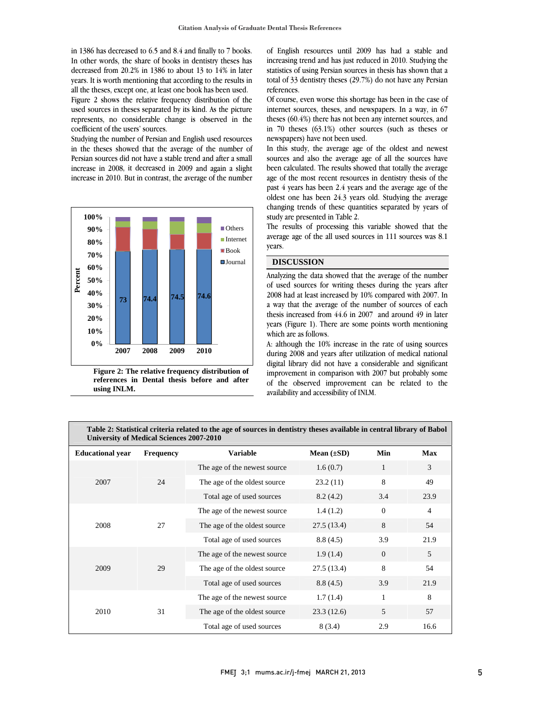in 1386 has decreased to 6.5 and 8.4 and finally to 7 books. In other words, the share of books in dentistry theses has decreased from 20.2% in 1386 to about 13 to 14% in later years. It is worth mentioning that according to the results in all the theses, except one, at least one book has been used. Figure 2 shows the relative frequency distribution of the used sources in theses separated by its kind. As the picture represents, no considerable change is observed in the coefficient of the users' sources.

Studying the number of Persian and English used resources in the theses showed that the average of the number of Persian sources did not have a stable trend and after a small increase in 2008, it decreased in 2009 and again a slight increase in 2010. But in contrast, the average of the number





 of English resources until 2009 has had a stable and statistics of using Persian sources in thesis has shown that a total of 33 dentistry theses (29.7%) do not have any Persian references. increasing trend and has just reduced in 2010. Studying the

 Of course, even worse this shortage has been in the case of theses (60.4%) there has not been any internet sources, and in 70 theses (63.1%) other sources (such as theses or newspapers) have not been used. internet sources, theses, and newspapers. In a way, in 67

 In this study, the average age of the oldest and newest been calculated. The results showed that totally the average age of the most recent resources in dentistry thesis of the past 4 years has been 2.4 years and the average age of the oldest one has been 24.3 years old. Studying the average study are presented in Table 2. sources and also the average age of all the sources have changing trends of these quantities separated by years of

 The results of processing this variable showed that the average age of the all used sources in 111 sources was 8.1 years.

#### **DISCUSSION**

 Analyzing the data showed that the average of the number of used sources for writing theses during the years after 2008 had at least increased by 10% compared with 2007. In thesis increased from 44.6 in 2007 and around 49 in later years (Figure 1). There are some points worth mentioning which are as follows. a way that the average of the number of sources of each

 A: although the 10% increase in the rate of using sources digital library did not have a considerable and significant improvement in comparison with 2007 but probably some of the observed improvement can be related to the availability and accessibility of INLM. during 2008 and years after utilization of medical national

| Table 2: Statistical criteria related to the age of sources in dentistry theses available in central library of Babol |
|-----------------------------------------------------------------------------------------------------------------------|
| University of Medical Sciences 2007-2010                                                                              |

 $\overline{a}$ 

| <b>Educational year</b> | <b>Frequency</b> | <b>Variable</b>               | Mean $(\pm SD)$ | Min          | <b>Max</b>     |
|-------------------------|------------------|-------------------------------|-----------------|--------------|----------------|
| 2007                    | 24               | The age of the newest source. | 1.6(0.7)        | $\mathbf{1}$ | 3              |
|                         |                  | The age of the oldest source  | 23.2(11)        | 8            | 49             |
|                         |                  | Total age of used sources     | 8.2(4.2)        | 3.4          | 23.9           |
| 2008                    | 27               | The age of the newest source  | 1.4(1.2)        | $\theta$     | $\overline{4}$ |
|                         |                  | The age of the oldest source  | 27.5(13.4)      | 8            | 54             |
|                         |                  | Total age of used sources     | 8.8(4.5)        | 3.9          | 21.9           |
| 2009                    | 29               | The age of the newest source. | 1.9(1.4)        | $\theta$     | 5              |
|                         |                  | The age of the oldest source  | 27.5(13.4)      | 8            | 54             |
|                         |                  | Total age of used sources     | 8.8(4.5)        | 3.9          | 21.9           |
| 2010                    | 31               | The age of the newest source. | 1.7(1.4)        | $\mathbf{1}$ | 8              |
|                         |                  | The age of the oldest source  | 23.3(12.6)      | 5            | 57             |
|                         |                  | Total age of used sources     | 8(3.4)          | 2.9          | 16.6           |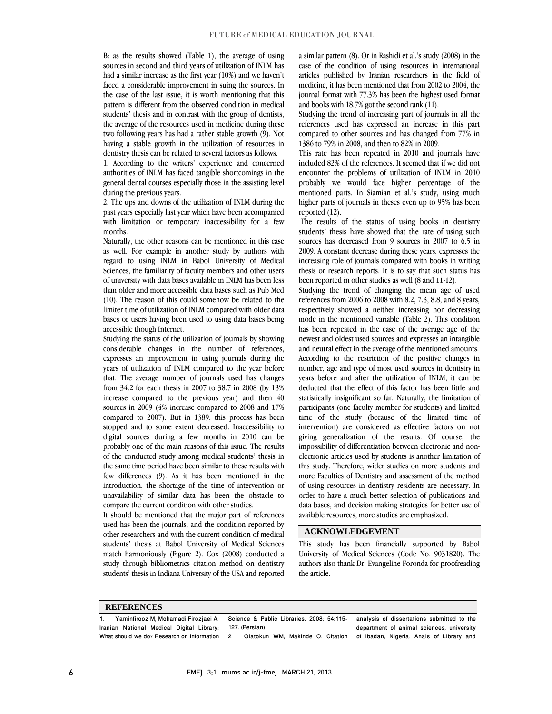B: as the results showed (Table 1), the average of using sources in second and third years of utilization of INLM has had a similar increase as the first year (10%) and we haven't faced a considerable improvement in suing the sources. In the case of the last issue, it is worth mentioning that this pattern is different from the observed condition in medical students' thesis and in contrast with the group of dentists, the average of the resources used in medicine during these two following years has had a rather stable growth (9). Not having a stable growth in the utilization of resources in dentistry thesis can be related to several factors as follows.

1. According to the writers' experience and concerned authorities of INLM has faced tangible shortcomings in the general dental courses especially those in the assisting level during the previous years.

2. The ups and downs of the utilization of INLM during the past years especially last year which have been accompanied with limitation or temporary inaccessibility for a few months.

Naturally, the other reasons can be mentioned in this case as well. For example in another study by authors with regard to using INLM in Babol University of Medical Sciences, the familiarity of faculty members and other users of university with data bases available in INLM has been less than older and more accessible data bases such as Pub Med (10). The reason of this could somehow be related to the limiter time of utilization of INLM compared with older data bases or users having been used to using data bases being accessible though Internet.

Studying the status of the utilization of journals by showing considerable changes in the number of references, expresses an improvement in using journals during the years of utilization of INLM compared to the year before that. The average number of journals used has changes from 34.2 for each thesis in 2007 to 38.7 in 2008 (by 13% increase compared to the previous year) and then 40 sources in 2009 (4% increase compared to 2008 and 17% compared to 2007). But in 1389, this process has been stopped and to some extent decreased. Inaccessibility to digital sources during a few months in 2010 can be probably one of the main reasons of this issue. The results of the conducted study among medical students' thesis in the same time period have been similar to these results with few differences (9). As it has been mentioned in the introduction, the shortage of the time of intervention or unavailability of similar data has been the obstacle to compare the current condition with other studies.

It should be mentioned that the major part of references used has been the journals, and the condition reported by other researchers and with the current condition of medical students' thesis at Babol University of Medical Sciences match harmoniously (Figure 2). Cox (2008) conducted a study through bibliometrics citation method on dentistry students' thesis in Indiana University of the USA and reported a similar pattern (8). Or in Rashidi et al.'s study (2008) in the case of the condition of using resources in international articles published by Iranian researchers in the field of medicine, it has been mentioned that from 2002 to 2004, the journal format with 77.3% has been the highest used format and books with 18.7% got the second rank (11).

Studying the trend of increasing part of journals in all the references used has expressed an increase in this part compared to other sources and has changed from 77% in 1386 to 79% in 2008, and then to 82% in 2009.

This rate has been repeated in 2010 and journals have included 82% of the references. It seemed that if we did not encounter the problems of utilization of INLM in 2010 probably we would face higher percentage of the mentioned parts. In Siamian et al.'s study, using much higher parts of journals in theses even up to 95% has been reported (12).

 The results of the status of using books in dentistry students' thesis have showed that the rate of using such sources has decreased from 9 sources in 2007 to 6.5 in 2009. A constant decrease during these years, expresses the increasing role of journals compared with books in writing thesis or research reports. It is to say that such status has been reported in other studies as well (8 and 11-12).

Studying the trend of changing the mean age of used references from 2006 to 2008 with 8.2, 7.3, 8.8, and 8 years, respectively showed a neither increasing nor decreasing mode in the mentioned variable (Table 2). This condition has been repeated in the case of the average age of the newest and oldest used sources and expresses an intangible and neutral effect in the average of the mentioned amounts. According to the restriction of the positive changes in number, age and type of most used sources in dentistry in years before and after the utilization of INLM, it can be deducted that the effect of this factor has been little and statistically insignificant so far. Naturally, the limitation of participants (one faculty member for students) and limited time of the study (because of the limited time of intervention) are considered as effective factors on not giving generalization of the results. Of course, the impossibility of differentiation between electronic and nonelectronic articles used by students is another limitation of this study. Therefore, wider studies on more students and more Faculties of Dentistry and assessment of the method of using resources in dentistry residents are necessary. In order to have a much better selection of publications and data bases, and decision making strategies for better use of available resources, more studies are emphasized.

### **ACKNOWLEDGEMENT**

This study has been financially supported by Babol University of Medical Sciences (Code No. 9031820). The authors also thank Dr. Evangeline Foronda for proofreading the article.

#### **REFERENCES**

1. Yaminfirooz M, Mohamadi Firozjaei A. Iranian National Medical Digital Library: What should we do? Research on Information Science & Public Libraries. 2008; 54:115- 127. (Persian) 2. Olatokun WM, Makinde O. Citation analysis of dissertations submitted to the department of animal sciences, university of Ibadan, Nigeria. Anals of Library and